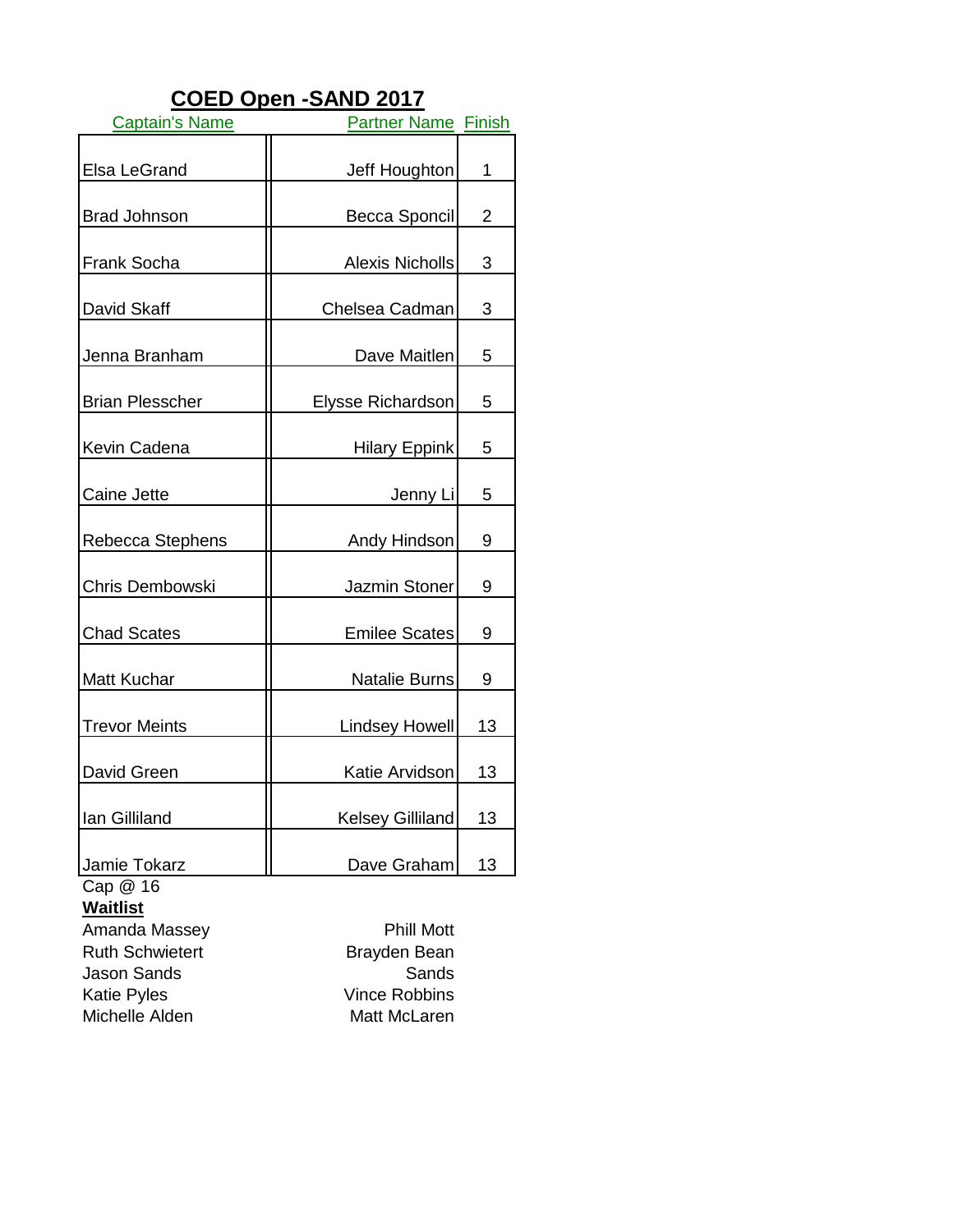# **COED Open -SAND 2017**

| <b>Captain's Name</b>  | <b>Partner Name Finish</b> |    |
|------------------------|----------------------------|----|
| <b>Elsa LeGrand</b>    | Jeff Houghton              | 1  |
| <b>Brad Johnson</b>    | Becca Sponcil              | 2  |
| <b>Frank Socha</b>     | <b>Alexis Nicholls</b>     | 3  |
| David Skaff            | Chelsea Cadman             | 3  |
| Jenna Branham          | Dave Maitlen               | 5  |
| <b>Brian Plesscher</b> | Elysse Richardson          | 5  |
| Kevin Cadena           | <b>Hilary Eppink</b>       | 5  |
| Caine Jette            | Jenny Li                   | 5  |
| Rebecca Stephens       | Andy Hindson               | 9  |
| Chris Dembowski        | Jazmin Stoner              | 9  |
| <b>Chad Scates</b>     | <b>Emilee Scates</b>       | 9  |
| Matt Kuchar            | Natalie Burns              | 9  |
| <b>Trevor Meints</b>   | <b>Lindsey Howell</b>      | 13 |
| David Green            | Katie Arvidson             | 13 |
| Ian Gilliland          | Kelsey Gilliland           | 13 |
| Jamie Tokarz           | Dave Graham                | 13 |

Cap @ 16

**Waitlist**

Amanda Massey<br>
Ruth Schwietert<br>
Ruth Schwietert<br>
Phill Mott<br>
Brayden Bean **Ruth Schwietert** Jason Sands Sands Michelle Alden Matt McLaren

Vince Robbins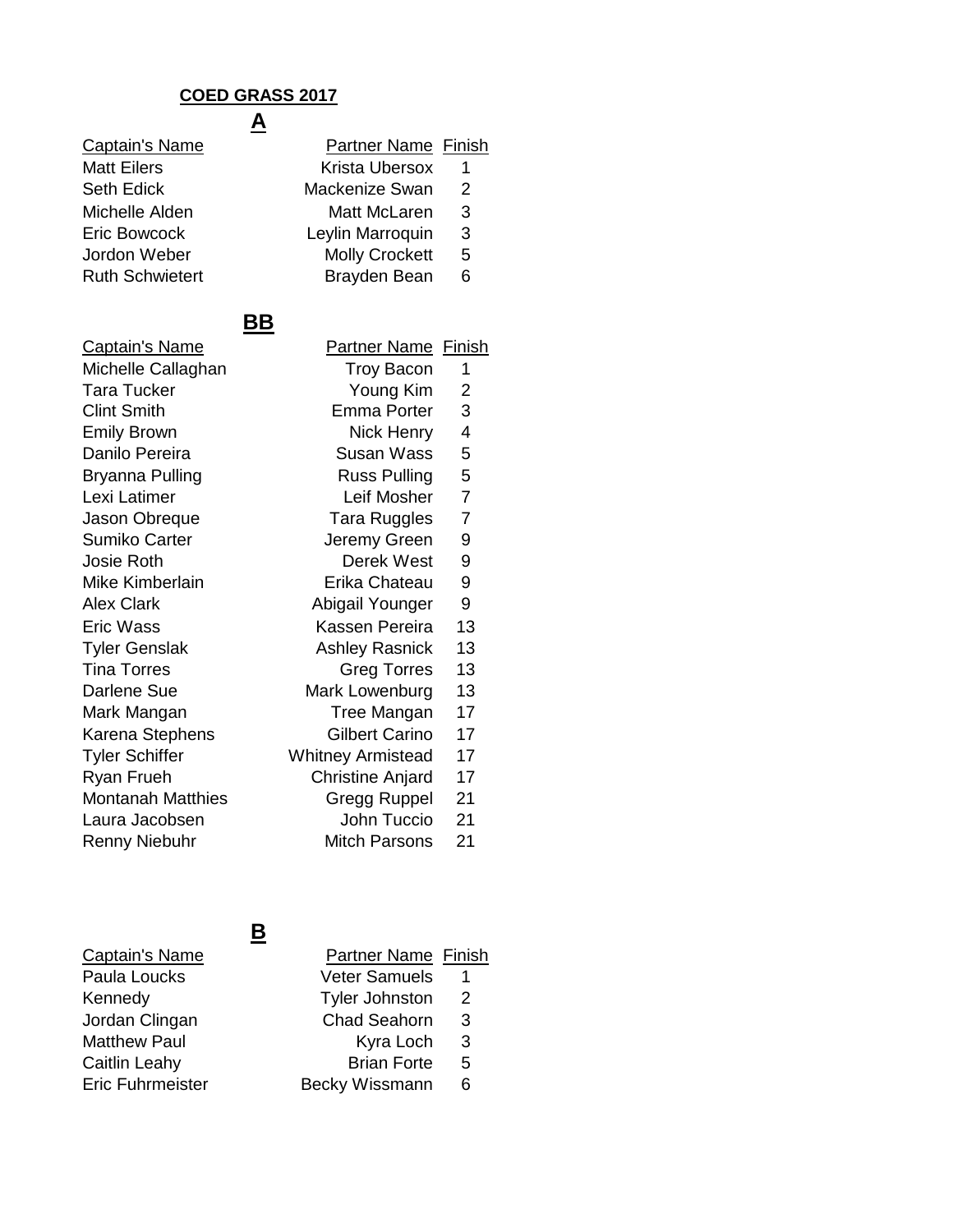#### **A COED GRASS 2017**

Captain's Name **Matt Eilers** Seth Edick Michelle Alden Eric Bowcock Jordon Weber **Ruth Schwietert** 

| <b>Partner Name Finish</b> |   |
|----------------------------|---|
| <b>Krista Ubersox</b>      | 1 |
| Mackenize Swan             | 2 |
| Matt McLaren               | 3 |
| Leylin Marroquin           | 3 |
| <b>Molly Crockett</b>      | 5 |
| Brayden Bean               | 6 |

### **BB**

Captain's Name Michelle Callaghan Tara Tucker Clint Smith Emily Brown Danilo Pereira Bryanna Pulling Lexi Latimer Jason Obreque Sumiko Carter Josie Roth Mike Kimberlain Alex Clark Eric Wass Tyler Genslak Tina Torres Darlene Sue Mark Mangan Karena Stephens Tyler Schiffer White Ryan Frueh Montanah Matthies Laura Jacobsen Renny Niebuhr

| <b>Partner Name Finish</b> |                |
|----------------------------|----------------|
| <b>Troy Bacon</b>          | 1              |
| Young Kim                  | $\overline{c}$ |
| <b>Emma Porter</b>         | 3              |
| <b>Nick Henry</b>          | 4              |
| Susan Wass                 | 5              |
| <b>Russ Pulling</b>        | 5              |
| Leif Mosher                | 7              |
| <b>Tara Ruggles</b>        | $\overline{7}$ |
| Jeremy Green               | 9              |
| Derek West                 | 9              |
| Erika Chateau              | 9              |
| Abigail Younger            | 9              |
| Kassen Pereira             | 13             |
| <b>Ashley Rasnick</b>      | 13             |
| <b>Greg Torres</b>         | 13             |
| Mark Lowenburg             | 13             |
| <b>Tree Mangan</b>         | 17             |
| <b>Gilbert Carino</b>      | 17             |
| /hitney Armistead          | 17             |
| <b>Christine Anjard</b>    | 17             |
| Gregg Ruppel               | 21             |
| John Tuccio                | 21             |
| <b>Mitch Parsons</b>       | 21             |

# Captain's Name

| Paula Loucks            |
|-------------------------|
| Kennedy                 |
| Jordan Clingan          |
| <b>Matthew Paul</b>     |
| <b>Caitlin Leahy</b>    |
| <b>Eric Fuhrmeister</b> |

## **B**

| Captain's Name      | <b>Partner Name Finish</b> |   |
|---------------------|----------------------------|---|
| Paula Loucks        | <b>Veter Samuels</b>       |   |
| Kennedy             | <b>Tyler Johnston</b>      | 2 |
| Jordan Clingan      | <b>Chad Seahorn</b>        | 3 |
| <b>Matthew Paul</b> | Kyra Loch                  | 3 |
| Caitlin Leahy       | <b>Brian Forte</b>         | 5 |
| Eric Fuhrmeister    | Becky Wissmann             | 6 |
|                     |                            |   |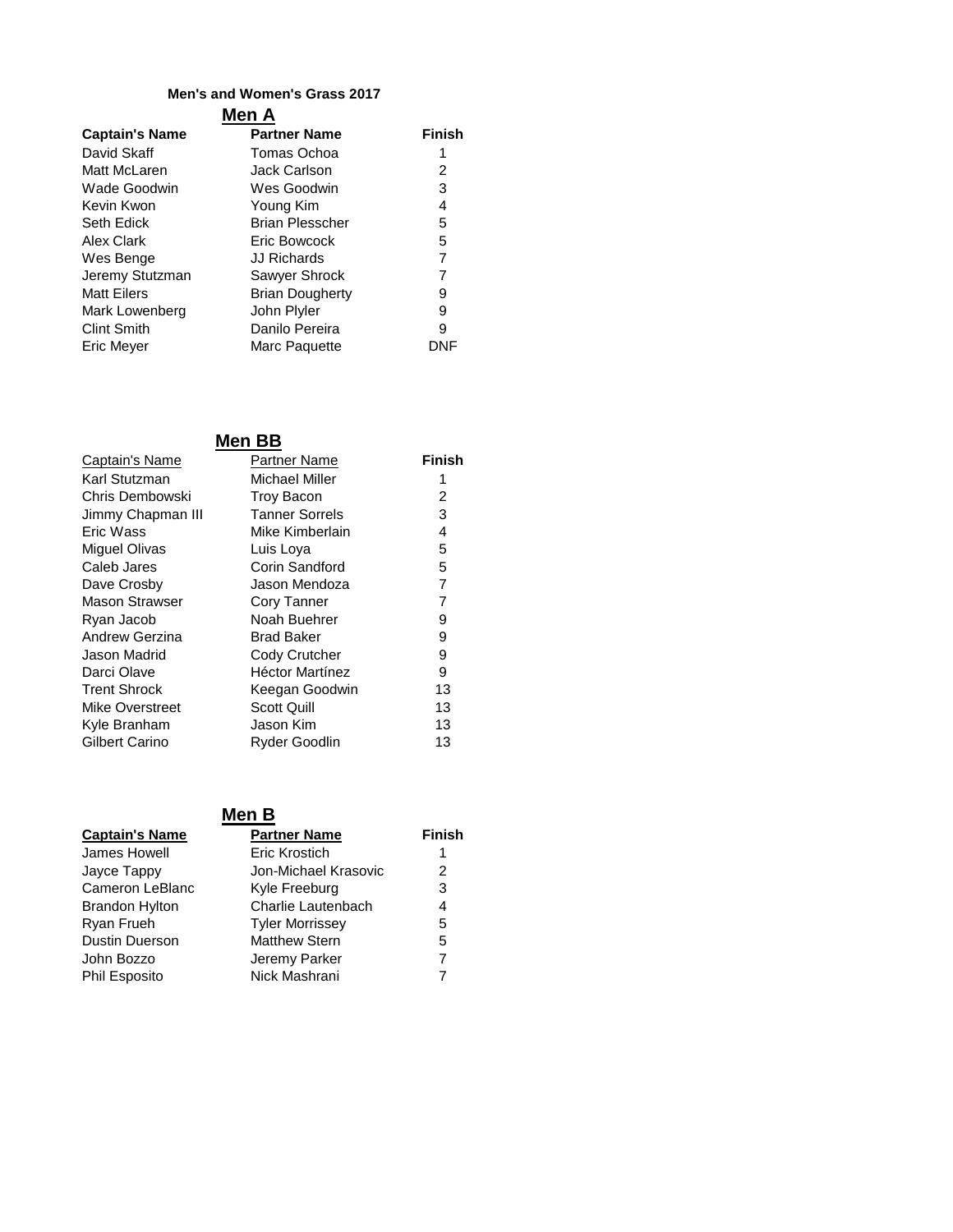#### **Men's and Women's Grass 2017**

#### **Men A**

| <b>Captain's Name</b> | <b>Partner Name</b>    | <b>Finish</b> |
|-----------------------|------------------------|---------------|
| David Skaff           | Tomas Ochoa            | 1             |
| Matt McLaren          | <b>Jack Carlson</b>    | 2             |
| Wade Goodwin          | Wes Goodwin            | 3             |
| Kevin Kwon            | Young Kim              | 4             |
| Seth Edick            | <b>Brian Plesscher</b> | 5             |
| <b>Alex Clark</b>     | Eric Bowcock           | 5             |
| Wes Benge             | <b>JJ Richards</b>     | 7             |
| Jeremy Stutzman       | Sawyer Shrock          | 7             |
| <b>Matt Eilers</b>    | <b>Brian Dougherty</b> | 9             |
| Mark Lowenberg        | John Plyler            | 9             |
| <b>Clint Smith</b>    | Danilo Pereira         | 9             |
| <b>Eric Meyer</b>     | Marc Paquette          | DNF           |

### **Men BB**

| <b>Captain's Name</b> | Partner Name           | Finish |
|-----------------------|------------------------|--------|
| Karl Stutzman         | <b>Michael Miller</b>  | 1      |
| Chris Dembowski       | <b>Troy Bacon</b>      | 2      |
| Jimmy Chapman III     | <b>Tanner Sorrels</b>  | 3      |
| Eric Wass             | Mike Kimberlain        | 4      |
| Miguel Olivas         | Luis Loya              | 5      |
| Caleb Jares           | Corin Sandford         | 5      |
| Dave Crosby           | Jason Mendoza          | 7      |
| <b>Mason Strawser</b> | Cory Tanner            | 7      |
| Ryan Jacob            | Noah Buehrer           | 9      |
| Andrew Gerzina        | <b>Brad Baker</b>      | 9      |
| Jason Madrid          | Cody Crutcher          | 9      |
| Darci Olave           | <b>Héctor Martínez</b> | 9      |
| <b>Trent Shrock</b>   | Keegan Goodwin         | 13     |
| Mike Overstreet       | Scott Quill            | 13     |
| Kyle Branham          | Jason Kim              | 13     |
| Gilbert Carino        | Ryder Goodlin          | 13     |
|                       |                        |        |

#### **Men B**

| <b>Captain's Name</b> | <b>Partner Name</b>    | <b>Finish</b> |
|-----------------------|------------------------|---------------|
| James Howell          | Eric Krostich          |               |
| Jayce Tappy           | Jon-Michael Krasovic   | 2             |
| Cameron LeBlanc       | Kyle Freeburg          | 3             |
| Brandon Hylton        | Charlie Lautenbach     | 4             |
| Ryan Frueh            | <b>Tyler Morrissey</b> | 5             |
| Dustin Duerson        | <b>Matthew Stern</b>   | 5             |
| John Bozzo            | Jeremy Parker          | 7             |
| Phil Esposito         | Nick Mashrani          |               |
|                       |                        |               |